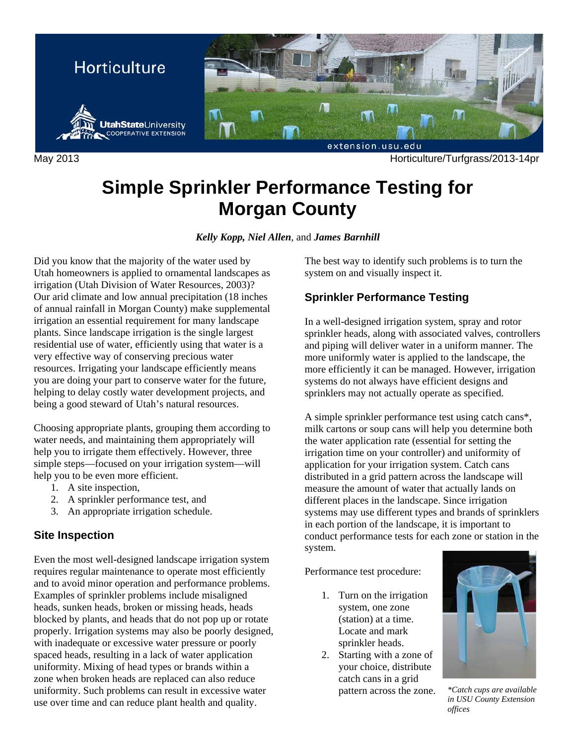

May 2013 Horticulture/Turfgrass/2013-14pr

# **Simple Sprinkler Performance Testing for Morgan County**

*Kelly Kopp, Niel Allen*, and *James Barnhill* 

Did you know that the majority of the water used by Utah homeowners is applied to ornamental landscapes as irrigation (Utah Division of Water Resources, 2003)? Our arid climate and low annual precipitation (18 inches of annual rainfall in Morgan County) make supplemental irrigation an essential requirement for many landscape plants. Since landscape irrigation is the single largest residential use of water, efficiently using that water is a very effective way of conserving precious water resources. Irrigating your landscape efficiently means you are doing your part to conserve water for the future, helping to delay costly water development projects, and being a good steward of Utah's natural resources.

Choosing appropriate plants, grouping them according to water needs, and maintaining them appropriately will help you to irrigate them effectively. However, three simple steps—focused on your irrigation system—will help you to be even more efficient.

- 1. A site inspection,
- 2. A sprinkler performance test, and
- 3. An appropriate irrigation schedule.

# **Site Inspection**

Even the most well-designed landscape irrigation system requires regular maintenance to operate most efficiently and to avoid minor operation and performance problems. Examples of sprinkler problems include misaligned heads, sunken heads, broken or missing heads, heads blocked by plants, and heads that do not pop up or rotate properly. Irrigation systems may also be poorly designed, with inadequate or excessive water pressure or poorly spaced heads, resulting in a lack of water application uniformity. Mixing of head types or brands within a zone when broken heads are replaced can also reduce uniformity. Such problems can result in excessive water use over time and can reduce plant health and quality.

The best way to identify such problems is to turn the system on and visually inspect it.

# **Sprinkler Performance Testing**

In a well-designed irrigation system, spray and rotor sprinkler heads, along with associated valves, controllers and piping will deliver water in a uniform manner. The more uniformly water is applied to the landscape, the more efficiently it can be managed. However, irrigation systems do not always have efficient designs and sprinklers may not actually operate as specified.

A simple sprinkler performance test using catch cans\*, milk cartons or soup cans will help you determine both the water application rate (essential for setting the irrigation time on your controller) and uniformity of application for your irrigation system. Catch cans distributed in a grid pattern across the landscape will measure the amount of water that actually lands on different places in the landscape. Since irrigation systems may use different types and brands of sprinklers in each portion of the landscape, it is important to conduct performance tests for each zone or station in the system.

Performance test procedure:

- 1. Turn on the irrigation system, one zone (station) at a time. Locate and mark sprinkler heads.
- 2. Starting with a zone of your choice, distribute catch cans in a grid pattern across the zone. *\*Catch cups are available*



*in USU County Extension offices*